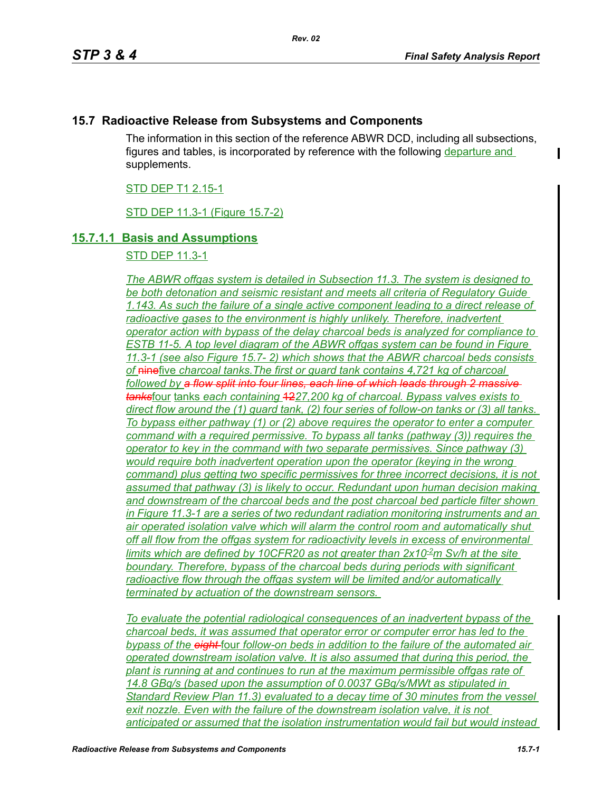## **15.7 Radioactive Release from Subsystems and Components**

The information in this section of the reference ABWR DCD, including all subsections, figures and tables, is incorporated by reference with the following departure and supplements.

### STD DEP T1 2.15-1

STD DEP 11.3-1 (Figure 15.7-2)

## **15.7.1.1 Basis and Assumptions**

STD DEP 11.3-1

*The ABWR offgas system is detailed in Subsection 11.3. The system is designed to be both detonation and seismic resistant and meets all criteria of Regulatory Guide 1.143. As such the failure of a single active component leading to a direct release of*  radioactive gases to the environment is highly unlikely. Therefore, inadvertent *operator action with bypass of the delay charcoal beds is analyzed for compliance to ESTB 11-5. A top level diagram of the ABWR offgas system can be found in Figure 11.3-1 (see also Figure 15.7- 2) which shows that the ABWR charcoal beds consists of* ninefive *charcoal tanks.The first or guard tank contains 4,721 kg of charcoal followed by a flow split into four lines, each line of which leads through 2 massive tanks*four tanks *each containing* 12*27,200 kg of charcoal. Bypass valves exists to direct flow around the (1) guard tank, (2) four series of follow-on tanks or (3) all tanks. To bypass either pathway (1) or (2) above requires the operator to enter a computer command with a required permissive. To bypass all tanks (pathway (3)) requires the operator to key in the command with two separate permissives. Since pathway (3) would require both inadvertent operation upon the operator (keying in the wrong command) plus getting two specific permissives for three incorrect decisions, it is not assumed that pathway (3) is likely to occur. Redundant upon human decision making and downstream of the charcoal beds and the post charcoal bed particle filter shown in Figure 11.3-1 are a series of two redundant radiation monitoring instruments and an air operated isolation valve which will alarm the control room and automatically shut off all flow from the offgas system for radioactivity levels in excess of environmental limits which are defined by 10CFR20 as not greater than 2x10-2m Sv/h at the site boundary. Therefore, bypass of the charcoal beds during periods with significant radioactive flow through the offgas system will be limited and/or automatically terminated by actuation of the downstream sensors.* 

*To evaluate the potential radiological consequences of an inadvertent bypass of the charcoal beds, it was assumed that operator error or computer error has led to the bypass of the eight* four *follow-on beds in addition to the failure of the automated air operated downstream isolation valve. It is also assumed that during this period, the plant is running at and continues to run at the maximum permissible offgas rate of 14.8 GBq/s (based upon the assumption of 0.0037 GBq/s/MWt as stipulated in Standard Review Plan 11.3) evaluated to a decay time of 30 minutes from the vessel*  exit nozzle. Even with the failure of the downstream isolation valve, it is not *anticipated or assumed that the isolation instrumentation would fail but would instead*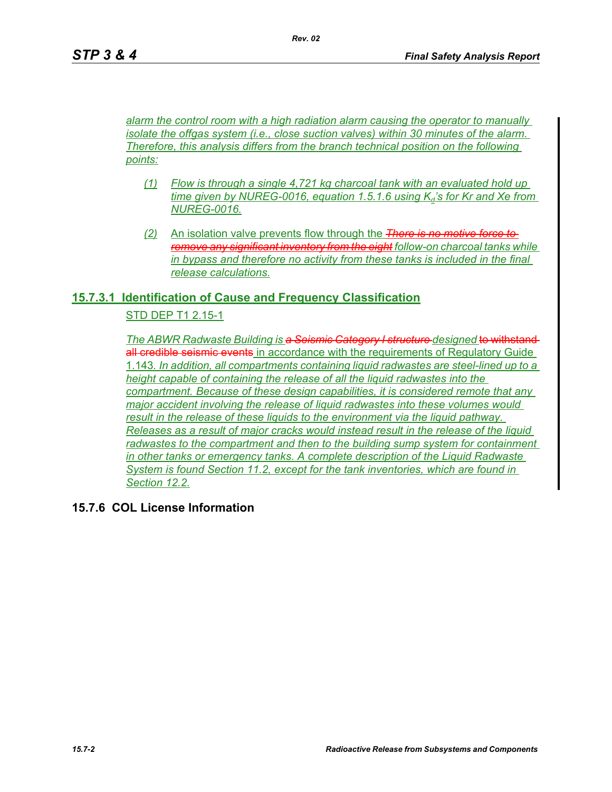*alarm the control room with a high radiation alarm causing the operator to manually isolate the offgas system (i.e., close suction valves) within 30 minutes of the alarm. Therefore, this analysis differs from the branch technical position on the following points:*

*Rev. 02*

- *(1) Flow is through a single 4,721 kg charcoal tank with an evaluated hold up*   $time$  given by NUREG-0016, equation 1.5.1.6 using  $K_d$ 's for Kr and Xe from *NUREG-0016.*
- *(2)* An isolation valve prevents flow through the *There is no motive force to remove any significant inventory from the eight follow-on charcoal tanks while in bypass and therefore no activity from these tanks is included in the final release calculations.*

## **15.7.3.1 Identification of Cause and Frequency Classification**

## STD DEP T1 2.15-1

**The ABWR Radwaste Building is a Seismic Category I structure designed to withstand**all credible seismic events in accordance with the requirements of Regulatory Guide 1.143*. In addition, all compartments containing liquid radwastes are steel-lined up to a height capable of containing the release of all the liquid radwastes into the compartment. Because of these design capabilities, it is considered remote that any major accident involving the release of liquid radwastes into these volumes would result in the release of these liquids to the environment via the liquid pathway. Releases as a result of major cracks would instead result in the release of the liquid radwastes to the compartment and then to the building sump system for containment in other tanks or emergency tanks. A complete description of the Liquid Radwaste System is found Section 11.2, except for the tank inventories, which are found in Section 12.2.*

**15.7.6 COL License Information**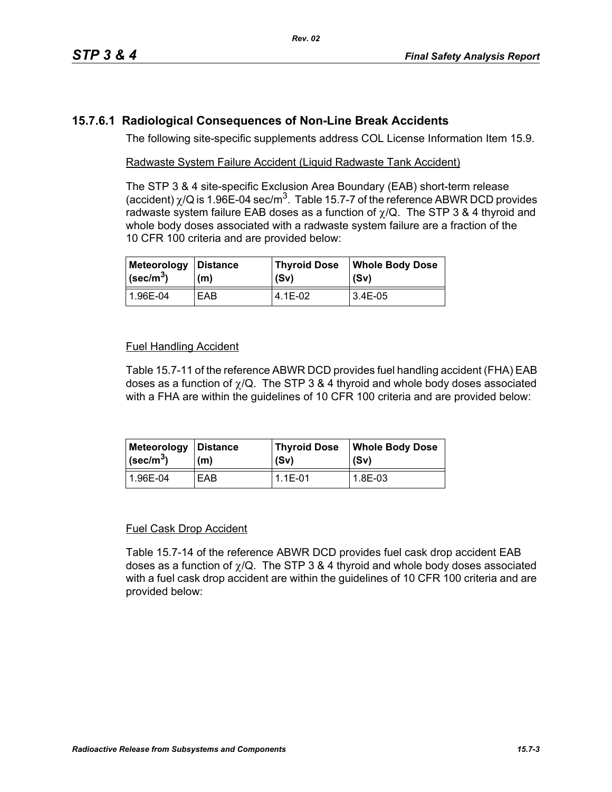# **15.7.6.1 Radiological Consequences of Non-Line Break Accidents**

The following site-specific supplements address COL License Information Item 15.9.

## Radwaste System Failure Accident (Liquid Radwaste Tank Accident)

The STP 3 & 4 site-specific Exclusion Area Boundary (EAB) short-term release (accident)  $\chi$ /Q is 1.96E-04 sec/m<sup>3</sup>. Table 15.7-7 of the reference ABWR DCD provides radwaste system failure EAB doses as a function of  $\chi$ /Q. The STP 3 & 4 thyroid and whole body doses associated with a radwaste system failure are a fraction of the 10 CFR 100 criteria and are provided below:

| Meteorology Distance          | (m) | Thyroid Dose | <b>Whole Body Dose</b> |
|-------------------------------|-----|--------------|------------------------|
| $\vert$ (sec/m <sup>3</sup> ) |     | (Sv)         | l (Sv)                 |
| l 1.96E-04                    | EAB | 4.1E-02      | 3.4E-05                |

## Fuel Handling Accident

Table 15.7-11 of the reference ABWR DCD provides fuel handling accident (FHA) EAB doses as a function of  $\chi$ /Q. The STP 3 & 4 thyroid and whole body doses associated with a FHA are within the guidelines of 10 CFR 100 criteria and are provided below:

| Meteorology             | <b>∣Distance</b> | <b>Thyroid Dose</b> | <b>Whole Body Dose</b> |
|-------------------------|------------------|---------------------|------------------------|
| $\sqrt{\text{sec/m}^3}$ | (m)              | (Sv)                | (Sv)                   |
| 1.96E-04                | EAB              | $1.1E - 01$         | 1.8E-03                |

#### Fuel Cask Drop Accident

Table 15.7-14 of the reference ABWR DCD provides fuel cask drop accident EAB doses as a function of  $\chi$ /Q. The STP 3 & 4 thyroid and whole body doses associated with a fuel cask drop accident are within the guidelines of 10 CFR 100 criteria and are provided below: